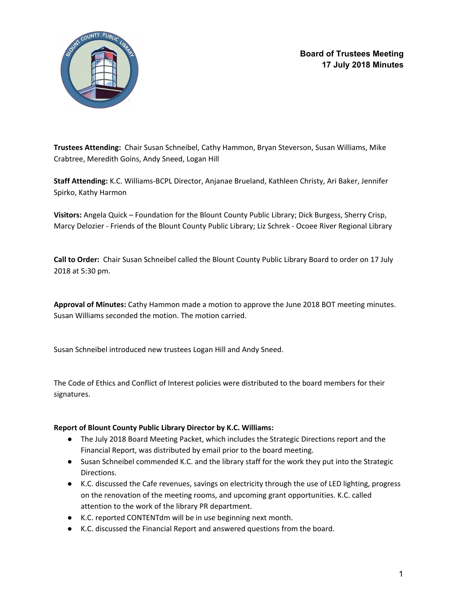

**Board of Trustees Meeting 17 July 2018 Minutes**

**Trustees Attending:** Chair Susan Schneibel, Cathy Hammon, Bryan Steverson, Susan Williams, Mike Crabtree, Meredith Goins, Andy Sneed, Logan Hill

**Staff Attending:** K.C. Williams-BCPL Director, Anjanae Brueland, Kathleen Christy, Ari Baker, Jennifer Spirko, Kathy Harmon

**Visitors:** Angela Quick – Foundation for the Blount County Public Library; Dick Burgess, Sherry Crisp, Marcy Delozier - Friends of the Blount County Public Library; Liz Schrek - Ocoee River Regional Library

**Call to Order:** Chair Susan Schneibel called the Blount County Public Library Board to order on 17 July 2018 at 5:30 pm.

**Approval of Minutes:** Cathy Hammon made a motion to approve the June 2018 BOT meeting minutes. Susan Williams seconded the motion. The motion carried.

Susan Schneibel introduced new trustees Logan Hill and Andy Sneed.

The Code of Ethics and Conflict of Interest policies were distributed to the board members for their signatures.

#### **Report of Blount County Public Library Director by K.C. Williams:**

- The July 2018 Board Meeting Packet, which includes the Strategic Directions report and the Financial Report, was distributed by email prior to the board meeting.
- Susan Schneibel commended K.C. and the library staff for the work they put into the Strategic Directions.
- K.C. discussed the Cafe revenues, savings on electricity through the use of LED lighting, progress on the renovation of the meeting rooms, and upcoming grant opportunities. K.C. called attention to the work of the library PR department.
- K.C. reported CONTENTdm will be in use beginning next month.
- K.C. discussed the Financial Report and answered questions from the board.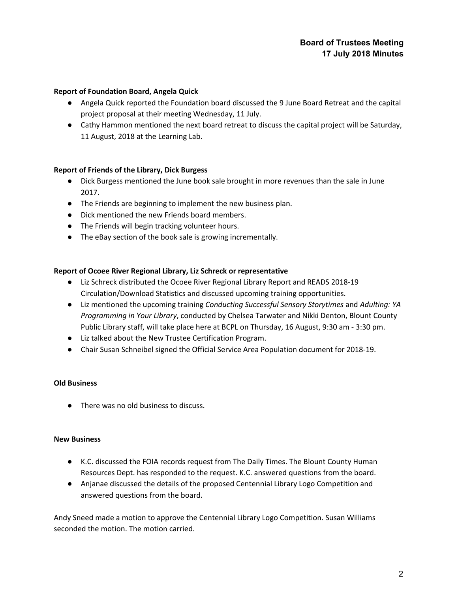# **Board of Trustees Meeting 17 July 2018 Minutes**

#### **Report of Foundation Board, Angela Quick**

- Angela Quick reported the Foundation board discussed the 9 June Board Retreat and the capital project proposal at their meeting Wednesday, 11 July.
- Cathy Hammon mentioned the next board retreat to discuss the capital project will be Saturday, 11 August, 2018 at the Learning Lab.

### **Report of Friends of the Library, Dick Burgess**

- Dick Burgess mentioned the June book sale brought in more revenues than the sale in June 2017.
- The Friends are beginning to implement the new business plan.
- Dick mentioned the new Friends board members.
- The Friends will begin tracking volunteer hours.
- The eBay section of the book sale is growing incrementally.

### **Report of Ocoee River Regional Library, Liz Schreck or representative**

- Liz Schreck distributed the Ocoee River Regional Library Report and READS 2018-19 Circulation/Download Statistics and discussed upcoming training opportunities.
- Liz mentioned the upcoming training *Conducting Successful Sensory Storytimes* and *Adulting: YA Programming in Your Library*, conducted by Chelsea Tarwater and Nikki Denton, Blount County Public Library staff, will take place here at BCPL on Thursday, 16 August, 9:30 am - 3:30 pm.
- Liz talked about the New Trustee Certification Program.
- Chair Susan Schneibel signed the Official Service Area Population document for 2018-19.

#### **Old Business**

● There was no old business to discuss.

#### **New Business**

- K.C. discussed the FOIA records request from The Daily Times. The Blount County Human Resources Dept. has responded to the request. K.C. answered questions from the board.
- Anjanae discussed the details of the proposed Centennial Library Logo Competition and answered questions from the board.

Andy Sneed made a motion to approve the Centennial Library Logo Competition. Susan Williams seconded the motion. The motion carried.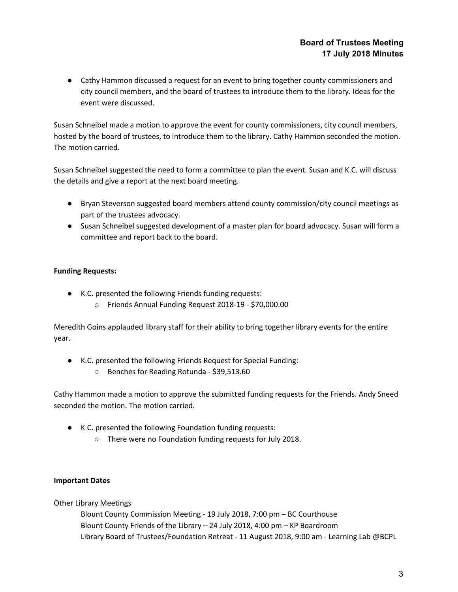● Cathy Hammon discussed a request for an event to bring together county commissioners and city council members, and the board of trustees to introduce them to the library. Ideas for the event were discussed.

Susan Schneibel made a motion to approve the event for county commissioners, city council members, hosted by the board of trustees, to introduce them to the library. Cathy Hammon seconded the motion. The motion carried.

Susan Schneibel suggested the need to form a committee to plan the event. Susan and K.C. will discuss the details and give a report at the next board meeting.

- Bryan Steverson suggested board members attend county commission/city council meetings as part of the trustees advocacy.
- Susan Schneibel suggested development of a master plan for board advocacy. Susan will form a committee and report back to the board.

# **Funding Requests:**

- K.C. presented the following Friends funding requests:
	- o Friends Annual Funding Request 2018-19 \$70,000.00

Meredith Goins applauded library staff for their ability to bring together library events for the entire year.

- K.C. presented the following Friends Request for Special Funding:
	- Benches for Reading Rotunda \$39,513.60

Cathy Hammon made a motion to approve the submitted funding requests for the Friends. Andy Sneed seconded the motion. The motion carried.

- K.C. presented the following Foundation funding requests:
	- There were no Foundation funding requests for July 2018.

# **Important Dates**

Other Library Meetings

Blount County Commission Meeting - 19 July 2018, 7:00 pm – BC Courthouse Blount County Friends of the Library – 24 July 2018, 4:00 pm – KP Boardroom Library Board of Trustees/Foundation Retreat - 11 August 2018, 9:00 am - Learning Lab @BCPL